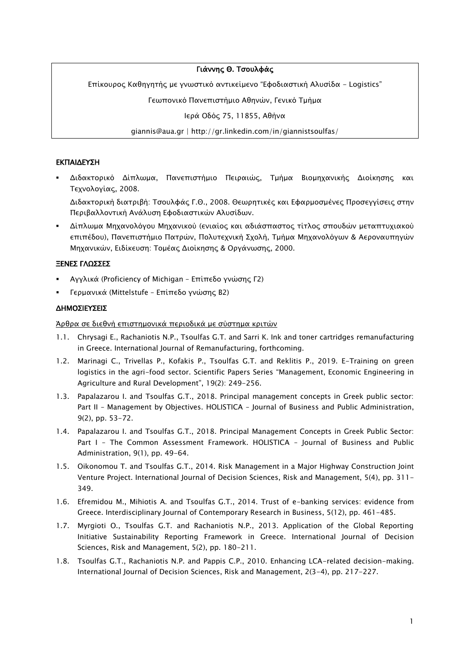# Γιάννης Θ. Τσουλφάς

Επίκουρος Καθηγητής με γνωστικό αντικείμενο "Εφοδιαστική Αλυσίδα - Logistics"

### Γεωπονικό Πανεπιστήμιο Αθηνών, Γενικό Τμήμα

Ιερά Οδός 75, 11855, Αθήνα

giannis@aua.gr |<http://gr.linkedin.com/in/giannistsoulfas/>

## ΕΚΠΑΙΔΕΥΣΗ

Διδακτορικό Δίπλωμα, Πανεπιστήμιο Πειραιώς, Τμήμα Βιομηχανικής Διοίκησης και Τεχνολογίας, 2008.

Διδακτορική διατριβή: Τσουλφάς Γ.Θ., 2008. Θεωρητικές και Εφαρμοσμένες Προσεγγίσεις στην Περιβαλλοντική Ανάλυση Εφοδιαστικών Αλυσίδων.

▪ Δίπλωμα Μηχανολόγου Μηχανικού (ενιαίος και αδιάσπαστος τίτλος σπουδών μεταπτυχιακού επιπέδου), Πανεπιστήμιο Πατρών, Πολυτεχνική Σχολή, Τμήμα Μηχανολόγων & Αεροναυπηγών Μηχανικών, Ειδίκευση: Τομέας Διοίκησης & Οργάνωσης, 2000.

# ΞΕΝΕΣ ΓΛΩΣΣΕΣ

- Αγγλικά (Proficiency of Michigan Επίπεδο γνώσης Γ2)
- Γερμανικά (Mittelstufe Επίπεδο γνώσης Β2)

### ΔΗΜΟΣΙΕΥΣΕΙΣ

Άρθρα σε διεθνή επιστημονικά περιοδικά με σύστημα κριτών

- 1.1. Chrysagi E., Rachaniotis N.P., Tsoulfas G.T. and Sarri K. Ink and toner cartridges remanufacturing in Greece. International Journal of Remanufacturing, forthcoming.
- 1.2. Marinagi C., Trivellas P., Kofakis P., Tsoulfas G.T. and Reklitis P., 2019. E-Training on green logistics in the agri-food sector. Scientific Papers Series "Management, Economic Engineering in Agriculture and Rural Development", 19(2): 249-256.
- 1.3. Papalazarou I. and Tsoulfas G.T., 2018. Principal management concepts in Greek public sector: Part II – Management by Objectives. HOLISTICA – Journal of Business and Public Administration, 9(2), pp. 53-72.
- 1.4. Papalazarou I. and Tsoulfas G.T., 2018. Principal Management Concepts in Greek Public Sector: Part I – The Common Assessment Framework. HOLISTICA – Journal of Business and Public Administration, 9(1), pp. 49-64.
- 1.5. Oikonomou T. and Tsoulfas G.T., 2014. Risk Management in a Major Highway Construction Joint Venture Project. International Journal of Decision Sciences, Risk and Management, 5(4), pp. 311- 349.
- 1.6. Efremidou M., Mihiotis A. and Tsoulfas G.T., 2014. Trust of e-banking services: evidence from Greece. Interdisciplinary Journal of Contemporary Research in Business, 5(12), pp. 461-485.
- 1.7. Myrgioti O., Tsoulfas G.T. and Rachaniotis N.P., 2013. Application of the Global Reporting Initiative Sustainability Reporting Framework in Greece. International Journal of Decision Sciences, Risk and Management, 5(2), pp. 180-211.
- 1.8. Tsoulfas G.T., Rachaniotis N.P. and Pappis C.P., 2010. Enhancing LCA-related decision-making. International Journal of Decision Sciences, Risk and Management, 2(3-4), pp. 217-227.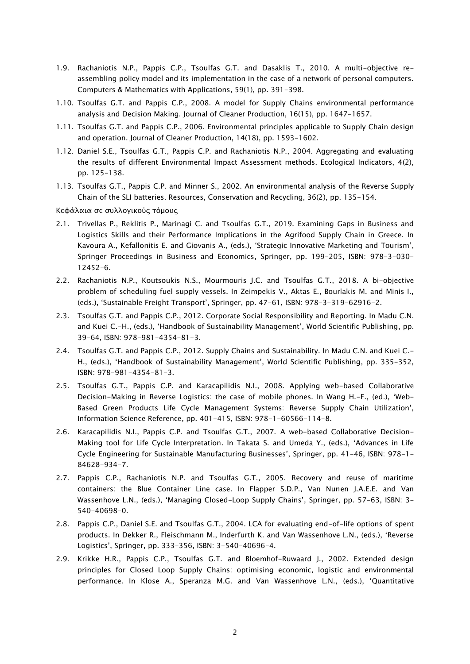- 1.9. Rachaniotis N.P., Pappis C.P., Tsoulfas G.T. and Dasaklis T., 2010. A multi-objective reassembling policy model and its implementation in the case of a network of personal computers. Computers & Mathematics with Applications, 59(1), pp. 391-398.
- 1.10. Tsoulfas G.T. and Pappis C.P., 2008. A model for Supply Chains environmental performance analysis and Decision Making. Journal of Cleaner Production, 16(15), pp. 1647-1657.
- 1.11. Tsoulfas G.T. and Pappis C.P., 2006. Environmental principles applicable to Supply Chain design and operation. Journal of Cleaner Production, 14(18), pp. 1593-1602.
- 1.12. Daniel S.E., Tsoulfas G.T., Pappis C.P. and Rachaniotis N.P., 2004. Aggregating and evaluating the results of different Environmental Impact Assessment methods. Ecological Indicators, 4(2), pp. 125-138.
- 1.13. Tsoulfas G.T., Pappis C.P. and Minner S., 2002. An environmental analysis of the Reverse Supply Chain of the SLI batteries. Resources, Conservation and Recycling, 36(2), pp. 135-154.

Κεφάλαια σε συλλογικούς τόμους

- 2.1. Trivellas P., Reklitis P., Marinagi C. and Tsoulfas G.T., 2019. Examining Gaps in Business and Logistics Skills and their Performance Implications in the Agrifood Supply Chain in Greece. In Kavoura A., Kefallonitis E. and Giovanis A., (eds.), 'Strategic Innovative Marketing and Tourism', Springer Proceedings in Business and Economics, Springer, pp. 199-205, ISBN: 978-3-030- 12452-6.
- 2.2. Rachaniotis N.P., Koutsoukis N.S., Mourmouris J.C. and Tsoulfas G.T., 2018. A bi-objective problem of scheduling fuel supply vessels. In Zeimpekis V., Aktas E., Bourlakis M. and Minis I., (eds.), 'Sustainable Freight Transport', Springer, pp. 47-61, ISBN: 978-3-319-62916-2.
- 2.3. Tsoulfas G.T. and Pappis C.P., 2012. Corporate Social Responsibility and Reporting. Ιn Madu C.N. and Kuei C.-H., (eds.), 'Handbook of Sustainability Management', World Scientific Publishing, pp. 39-64, ISBN: 978-981-4354-81-3.
- 2.4. Tsoulfas G.T. and Pappis C.P., 2012. Supply Chains and Sustainability. Ιn Madu C.N. and Kuei C.- H., (eds.), 'Handbook of Sustainability Management', World Scientific Publishing, pp. 335-352, ISBN: 978-981-4354-81-3.
- 2.5. Tsoulfas G.T., Pappis C.P. and Karacapilidis N.I., 2008. Applying web-based Collaborative Decision-Making in Reverse Logistics: the case of mobile phones. Ιn Wang H.-F., (ed.), 'Web-Based Green Products Life Cycle Management Systems: Reverse Supply Chain Utilization', Information Science Reference, pp. 401-415, ISBN: 978-1-60566-114-8.
- 2.6. Karacapilidis N.I., Pappis C.P. and Tsoulfas G.T., 2007. A web-based Collaborative Decision-Making tool for Life Cycle Interpretation. In Takata S. and Umeda Y., (eds.), 'Advances in Life Cycle Engineering for Sustainable Manufacturing Businesses', Springer, pp. 41-46, ISBN: 978-1- 84628-934-7.
- 2.7. Pappis C.P., Rachaniotis N.P. and Tsoulfas G.T., 2005. Recovery and reuse of maritime containers: the Blue Container Line case. In Flapper S.D.P., Van Nunen J.A.E.E. and Van Wassenhove L.N., (eds.), 'Managing Closed-Loop Supply Chains', Springer, pp. 57-63, ISBN: 3- 540-40698-0.
- 2.8. Pappis C.P., Daniel S.E. and Tsoulfas G.T., 2004. LCA for evaluating end-of-life options of spent products. In Dekker R., Fleischmann M., Inderfurth K. and Van Wassenhove L.N., (eds.), 'Reverse Logistics', Springer, pp. 333-356, ISBN: 3-540-40696-4.
- 2.9. Krikke H.R., Pappis C.P., Tsoulfas G.T. and Bloemhof-Ruwaard J., 2002. Extended design principles for Closed Loop Supply Chains: optimising economic, logistic and environmental performance. In Klose A., Speranza M.G. and Van Wassenhove L.N., (eds.), 'Quantitative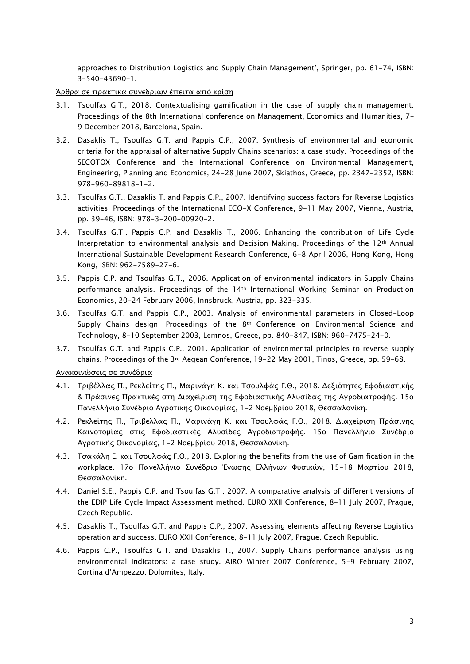approaches to Distribution Logistics and Supply Chain Management', Springer, pp. 61-74, ISBN: 3-540-43690-1.

Άρθρα σε πρακτικά συνεδρίων έπειτα από κρίση

- 3.1. Tsoulfas G.T., 2018. Contextualising gamification in the case of supply chain management. Proceedings of the 8th International conference on Management, Economics and Humanities, 7- 9 December 2018, Barcelona, Spain.
- 3.2. Dasaklis T., Tsoulfas G.T. and Pappis C.P., 2007. Synthesis of environmental and economic criteria for the appraisal of alternative Supply Chains scenarios: a case study. Proceedings of the SECOTOX Conference and the International Conference on Environmental Management, Engineering, Planning and Economics, 24-28 June 2007, Skiathos, Greece, pp. 2347-2352, ISBN: 978-960-89818-1-2.
- 3.3. Tsoulfas G.T., Dasaklis T. and Pappis C.P., 2007. Identifying success factors for Reverse Logistics activities. Proceedings of the International ECO-X Conference, 9-11 May 2007, Vienna, Austria, pp. 39-46, ISBN: 978-3-200-00920-2.
- 3.4. Tsoulfas G.T., Pappis C.P. and Dasaklis T., 2006. Enhancing the contribution of Life Cycle Interpretation to environmental analysis and Decision Making. Proceedings of the 12th Annual International Sustainable Development Research Conference, 6-8 April 2006, Hong Kong, Hong Kong, ISBN: 962-7589-27-6.
- 3.5. Pappis C.P. and Tsoulfas G.T., 2006. Application of environmental indicators in Supply Chains performance analysis. Proceedings of the 14th International Working Seminar on Production Economics, 20-24 February 2006, Innsbruck, Austria, pp. 323-335.
- 3.6. Tsoulfas G.T. and Pappis C.P., 2003. Analysis of environmental parameters in Closed-Loop Supply Chains design. Proceedings of the 8th Conference on Environmental Science and Technology, 8-10 September 2003, Lemnos, Greece, pp. 840-847, ISBN: 960-7475-24-0.
- 3.7. Tsoulfas G.T. and Pappis C.P., 2001. Application of environmental principles to reverse supply chains. Proceedings of the 3rd Aegean Conference, 19-22 May 2001, Tinos, Greece, pp. 59-68.

Ανακοινώσεις σε συνέδρια

- 4.1. Τριβέλλας Π., Ρεκλείτης Π., Μαρινάγη Κ. και Τσουλφάς Γ.Θ., 2018. Δεξιότητες Εφοδιαστικής & Πράσινες Πρακτικές στη Διαχείριση της Εφοδιαστικής Αλυσίδας της Αγροδιατροφής. 15ο Πανελλήνιο Συνέδριο Αγροτικής Οικονομίας, 1-2 Νοεμβρίου 2018, Θεσσαλονίκη.
- 4.2. Ρεκλείτης Π., Τριβέλλας Π., Μαρινάγη Κ. και Τσουλφάς Γ.Θ., 2018. Διαχείριση Πράσινης Καινοτομίας στις Εφοδιαστικές Αλυσίδες Αγροδιατροφής. 15ο Πανελλήνιο Συνέδριο Αγροτικής Οικονομίας, 1-2 Νοεμβρίου 2018, Θεσσαλονίκη.
- 4.3. Τσακάλη Ε. και Τσουλφάς Γ.Θ., 2018. Exploring the benefits from the use of Gamification in the workplace. 17ο Πανελλήνιο Συνέδριο Ένωσης Ελλήνων Φυσικών, 15-18 Μαρτίου 2018, Θεσσαλονίκη.
- 4.4. Daniel S.E., Pappis C.P. and Tsoulfas G.T., 2007. A comparative analysis of different versions of the EDIP Life Cycle Impact Assessment method. EURO XXII Conference, 8-11 July 2007, Prague, Czech Republic.
- 4.5. Dasaklis T., Tsoulfas G.T. and Pappis C.P., 2007. Assessing elements affecting Reverse Logistics operation and success. EURO XXII Conference, 8-11 July 2007, Prague, Czech Republic.
- 4.6. Pappis C.P., Tsoulfas G.T. and Dasaklis T., 2007. Supply Chains performance analysis using environmental indicators: a case study. AIRO Winter 2007 Conference, 5-9 February 2007, Cortina d'Ampezzo, Dolomites, Italy.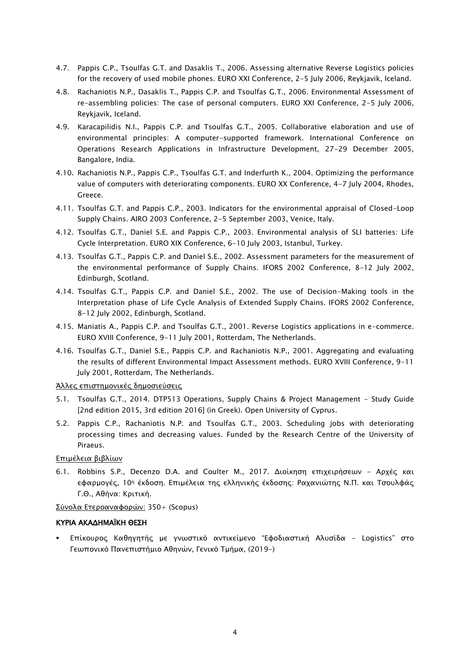- 4.7. Pappis C.P., Tsoulfas G.T. and Dasaklis T., 2006. Assessing alternative Reverse Logistics policies for the recovery of used mobile phones. EURO XXI Conference, 2-5 July 2006, Reykjavik, Iceland.
- 4.8. Rachaniotis N.P., Dasaklis T., Pappis C.P. and Tsoulfas G.T., 2006. Environmental Assessment of re-assembling policies: The case of personal computers. EURO XXI Conference, 2-5 July 2006, Reykjavik, Iceland.
- 4.9. Karacapilidis N.I., Pappis C.P. and Tsoulfas G.T., 2005. Collaborative elaboration and use of environmental principles: A computer-supported framework. International Conference on Operations Research Applications in Infrastructure Development, 27-29 December 2005, Bangalore, India.
- 4.10. Rachaniotis N.P., Pappis C.P., Tsoulfas G.T. and Inderfurth K., 2004. Optimizing the performance value of computers with deteriorating components. EURO XX Conference, 4-7 July 2004, Rhodes, Greece.
- 4.11. Tsoulfas G.T. and Pappis C.P., 2003. Indicators for the environmental appraisal of Closed-Loop Supply Chains. AIRO 2003 Conference, 2-5 September 2003, Venice, Italy.
- 4.12. Tsoulfas G.T., Daniel S.E. and Pappis C.P., 2003. Environmental analysis of SLI batteries: Life Cycle Interpretation. EURO XIX Conference, 6-10 July 2003, Istanbul, Turkey.
- 4.13. Tsoulfas G.T., Pappis C.P. and Daniel S.E., 2002. Assessment parameters for the measurement of the environmental performance of Supply Chains. IFORS 2002 Conference, 8-12 July 2002, Edinburgh, Scotland.
- 4.14. Tsoulfas G.T., Pappis C.P. and Daniel S.E., 2002. The use of Decision-Making tools in the Interpretation phase of Life Cycle Analysis of Extended Supply Chains. IFORS 2002 Conference, 8-12 July 2002, Edinburgh, Scotland.
- 4.15. Maniatis A., Pappis C.P. and Tsoulfas G.T., 2001. Reverse Logistics applications in e-commerce. EURO XVIII Conference, 9-11 July 2001, Rotterdam, The Netherlands.
- 4.16. Tsoulfas G.T., Daniel S.E., Pappis C.P. and Rachaniotis N.P., 2001. Aggregating and evaluating the results of different Environmental Impact Assessment methods. EURO XVIII Conference, 9-11 July 2001, Rotterdam, The Netherlands.

Άλλες επιστημονικές δημοσιεύσεις

- 5.1. Tsoulfas G.T., 2014. DTP513 Operations, Supply Chains & Project Management Study Guide [2nd edition 2015, 3rd edition 2016] (in Greek). Open University of Cyprus.
- 5.2. Pappis C.P., Rachaniotis N.P. and Tsoulfas G.T., 2003. Scheduling jobs with deteriorating processing times and decreasing values. Funded by the Research Centre of the University of Piraeus.

Επιμέλεια βιβλίων

6.1. Robbins S.P., Decenzo D.A. and Coulter M., 2017. Διοίκηση επιχειρήσεων - Αρχές και εφαρμογές, 10<sup>η</sup> έκδοση. Επιμέλεια της ελληνικής έκδοσης: Ραχανιώτης Ν.Π. και Τσουλφάς Γ.Θ., Αθήνα: Κριτική.

Σύνολα Ετεροαναφορών: 350+ (Scopus)

### ΚΥΡΙΑ ΑΚΑΔΗΜΑΪΚΗ ΘΕΣΗ

▪ Επίκουρος Καθηγητής με γνωστικό αντικείμενο "Εφοδιαστική Αλυσίδα - Logistics" στο Γεωπονικό Πανεπιστήμιο Αθηνών, Γενικό Τμήμα, (2019-)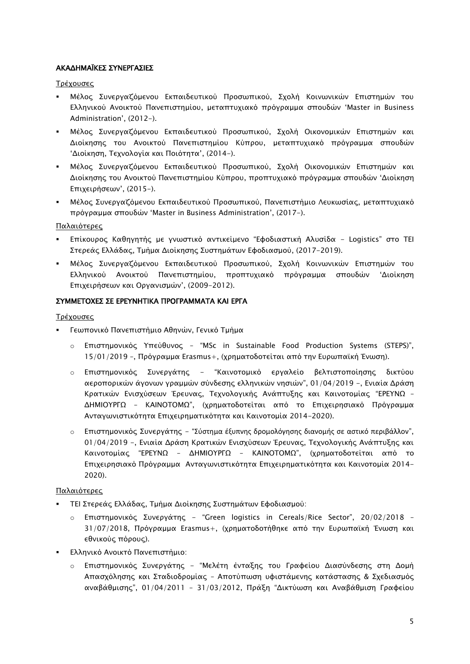# ΑΚΑΔΗΜΑΪΚΕΣ ΣΥΝΕΡΓΑΣΙΕΣ

Τρέχουσες

- Μέλος Συνεργαζόμενου Εκπαιδευτικού Προσωπικού, Σχολή Κοινωνικών Επιστημών του Ελληνικού Ανοικτού Πανεπιστημίου, μεταπτυχιακό πρόγραμμα σπουδών 'Master in Business Administration', (2012-).
- Μέλος Συνεργαζόμενου Εκπαιδευτικού Προσωπικού, Σχολή Οικονομικών Επιστημών και Διοίκησης του Ανοικτού Πανεπιστημίου Κύπρου, μεταπτυχιακό πρόγραμμα σπουδών 'Διοίκηση, Τεχνολογία και Ποιότητα', (2014-).
- Μέλος Συνεργαζόμενου Εκπαιδευτικού Προσωπικού, Σχολή Οικονομικών Επιστημών και Διοίκησης του Ανοικτού Πανεπιστημίου Κύπρου, προπτυχιακό πρόγραμμα σπουδών 'Διοίκηση Επιχειρήσεων', (2015-).
- Μέλος Συνεργαζόμενου Εκπαιδευτικού Προσωπικού, Πανεπιστήμιο Λευκωσίας, μεταπτυχιακό πρόγραμμα σπουδών 'Master in Business Administration', (2017-).

Παλαιότερες

- Επίκουρος Καθηγητής με γνωστικό αντικείμενο "Εφοδιαστική Αλυσίδα Logistics" στο ΤΕΙ Στερεάς Ελλάδας, Τμήμα Διοίκησης Συστημάτων Εφοδιασμού, (2017-2019).
- Μέλος Συνεργαζόμενου Εκπαιδευτικού Προσωπικού, Σχολή Κοινωνικών Επιστημών του Ελληνικού Ανοικτού Πανεπιστημίου, προπτυχιακό πρόγραμμα σπουδών 'Διοίκηση Επιχειρήσεων και Οργανισμών', (2009-2012).

# ΣΥΜΜΕΤΟΧΕΣ ΣΕ ΕΡΕΥΝΗΤΙΚΑ ΠΡΟΓΡΑΜΜΑΤΑ ΚΑΙ ΕΡΓΑ

Τρέχουσες

- Γεωπονικό Πανεπιστήμιο Αθηνών, Γενικό Τμήμα
	- o Επιστημονικός Υπεύθυνος "MSc in Sustainable Food Production Systems (STEPS)", 15/01/2019 –, Πρόγραμμα Erasmus+, (χρηματοδοτείται από την Ευρωπαϊκή Ένωση).
	- o Επιστημονικός Συνεργάτης "Καινοτομικό εργαλείο βελτιστοποίησης δικτύου αεροπορικών άγονων γραμμών σύνδεσης ελληνικών νησιών", 01/04/2019 -, Ενιαία Δράση Κρατικών Ενισχύσεων Έρευνας, Τεχνολογικής Ανάπτυξης και Καινοτομίας "ΕΡΕΥΝΩ – ΔΗΜΙΟΥΡΓΩ – ΚΑΙΝΟΤΟΜΩ", (χρηματοδοτείται από το Επιχειρησιακό Πρόγραμμα Ανταγωνιστικότητα Επιχειρηματικότητα και Καινοτομία 2014-2020).
	- o Επιστημονικός Συνεργάτης "Σύστημα έξυπνης δρομολόγησης διανομής σε αστικό περιβάλλον", 01/04/2019 -, Ενιαία Δράση Κρατικών Ενισχύσεων Έρευνας, Τεχνολογικής Ανάπτυξης και Καινοτομίας "ΕΡΕΥΝΩ – ΔΗΜΙΟΥΡΓΩ – ΚΑΙΝΟΤΟΜΩ", (χρηματοδοτείται από το Επιχειρησιακό Πρόγραμμα Ανταγωνιστικότητα Επιχειρηματικότητα και Καινοτομία 2014- 2020).

# Παλαιότερες

- ΤΕΙ Στερεάς Ελλάδας, Τμήμα Διοίκησης Συστημάτων Εφοδιασμού:
	- o Επιστημονικός Συνεργάτης "Green logistics in Cereals/Rice Sector", 20/02/2018 31/07/2018, Πρόγραμμα Erasmus+, (χρηματοδοτήθηκε από την Ευρωπαϊκή Ένωση και εθνικούς πόρους).
- Ελληνικό Ανοικτό Πανεπιστήμιο:
	- o Επιστημονικός Συνεργάτης "Μελέτη ένταξης του Γραφείου Διασύνδεσης στη Δομή Απασχόλησης και Σταδιοδρομίας – Αποτύπωση υφιστάμενης κατάστασης & Σχεδιασμός αναβάθμισης", 01/04/2011 – 31/03/2012, Πράξη "Δικτύωση και Αναβάθμιση Γραφείου